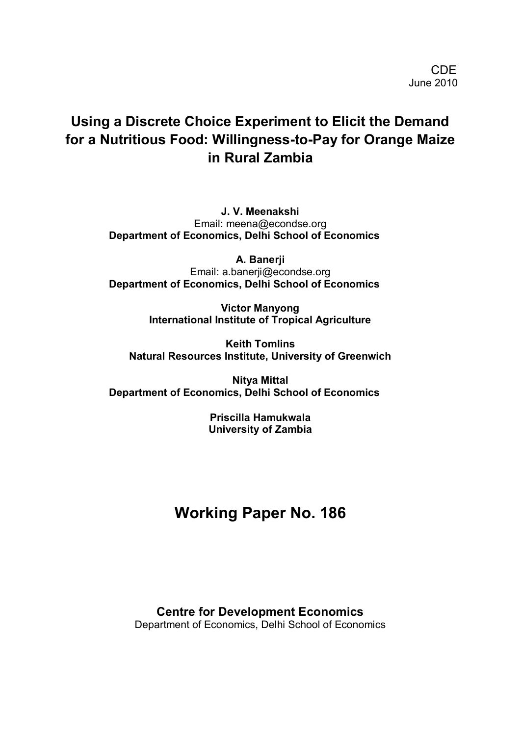# **Using a Discrete Choice Experiment to Elicit the Demand for a Nutritious Food: Willingness-to-Pay for Orange Maize in Rural Zambia**

**J. V. Meenakshi**  Email: meena@econdse.org **Department of Economics, Delhi School of Economics** 

**A. Banerji**  Email: a.banerji@econdse.org **Department of Economics, Delhi School of Economics**

> **Victor Manyong International Institute of Tropical Agriculture**

**Keith Tomlins Natural Resources Institute, University of Greenwich**

**Nitya Mittal Department of Economics, Delhi School of Economics** 

> **Priscilla Hamukwala University of Zambia**

# **Working Paper No. 186**

**Centre for Development Economics**  Department of Economics, Delhi School of Economics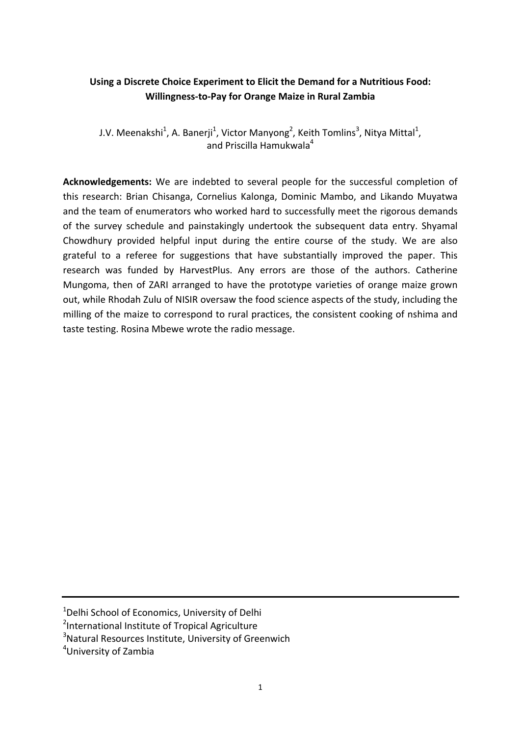## **Using a Discrete Choice Experiment to Elicit the Demand for a Nutritious Food: Willingness-to-Pay for Orange Maize in Rural Zambia**

J.V. Meenakshi<sup>1</sup>, A. Banerji<sup>1</sup>, Victor Manyong<sup>2</sup>, Keith Tomlins<sup>3</sup>, Nitya Mittal<sup>1</sup>, and Priscilla Hamukwala $4$ 

**Acknowledgements:** We are indebted to several people for the successful completion of this research: Brian Chisanga, Cornelius Kalonga, Dominic Mambo, and Likando Muyatwa and the team of enumerators who worked hard to successfully meet the rigorous demands of the survey schedule and painstakingly undertook the subsequent data entry. Shyamal Chowdhury provided helpful input during the entire course of the study. We are also grateful to a referee for suggestions that have substantially improved the paper. This research was funded by HarvestPlus. Any errors are those of the authors. Catherine Mungoma, then of ZARI arranged to have the prototype varieties of orange maize grown out, while Rhodah Zulu of NISIR oversaw the food science aspects of the study, including the milling of the maize to correspond to rural practices, the consistent cooking of nshima and taste testing. Rosina Mbewe wrote the radio message.

<sup>&</sup>lt;sup>1</sup>Delhi School of Economics, University of Delhi

<sup>&</sup>lt;sup>2</sup>International Institute of Tropical Agriculture

<sup>&</sup>lt;sup>3</sup>Natural Resources Institute, University of Greenwich

<sup>4</sup> University of Zambia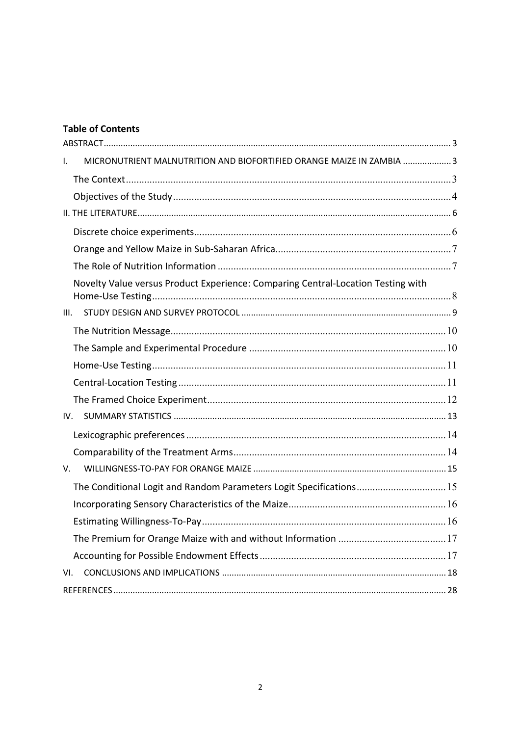## **Table of Contents**

| I.   | MICRONUTRIENT MALNUTRITION AND BIOFORTIFIED ORANGE MAIZE IN ZAMBIA 3             |  |
|------|----------------------------------------------------------------------------------|--|
|      |                                                                                  |  |
|      |                                                                                  |  |
|      |                                                                                  |  |
|      |                                                                                  |  |
|      |                                                                                  |  |
|      |                                                                                  |  |
|      | Novelty Value versus Product Experience: Comparing Central-Location Testing with |  |
| III. |                                                                                  |  |
|      |                                                                                  |  |
|      |                                                                                  |  |
|      |                                                                                  |  |
|      |                                                                                  |  |
|      |                                                                                  |  |
| IV.  |                                                                                  |  |
|      |                                                                                  |  |
|      |                                                                                  |  |
| V.   |                                                                                  |  |
|      | The Conditional Logit and Random Parameters Logit Specifications 15              |  |
|      |                                                                                  |  |
|      |                                                                                  |  |
|      |                                                                                  |  |
|      |                                                                                  |  |
| VI.  |                                                                                  |  |
|      |                                                                                  |  |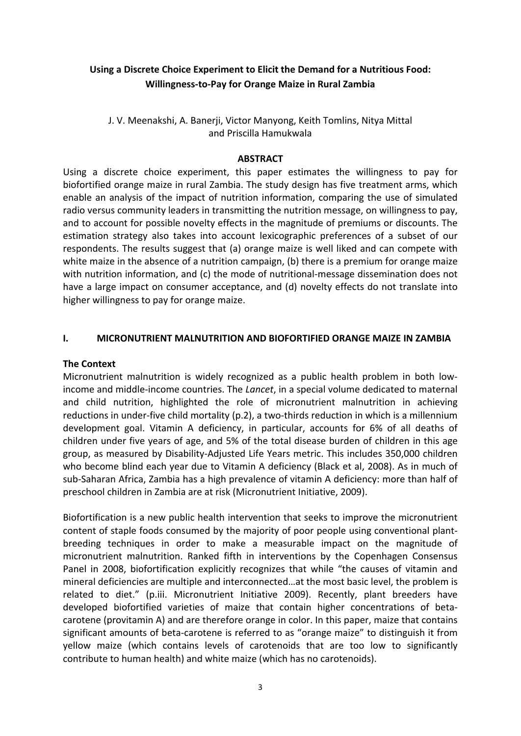## **Using a Discrete Choice Experiment to Elicit the Demand for a Nutritious Food: Willingness-to-Pay for Orange Maize in Rural Zambia**

## J. V. Meenakshi, A. Banerji, Victor Manyong, Keith Tomlins, Nitya Mittal and Priscilla Hamukwala

#### **ABSTRACT**

<span id="page-3-0"></span>Using a discrete choice experiment, this paper estimates the willingness to pay for biofortified orange maize in rural Zambia. The study design has five treatment arms, which enable an analysis of the impact of nutrition information, comparing the use of simulated radio versus community leaders in transmitting the nutrition message, on willingness to pay, and to account for possible novelty effects in the magnitude of premiums or discounts. The estimation strategy also takes into account lexicographic preferences of a subset of our respondents. The results suggest that (a) orange maize is well liked and can compete with white maize in the absence of a nutrition campaign, (b) there is a premium for orange maize with nutrition information, and (c) the mode of nutritional-message dissemination does not have a large impact on consumer acceptance, and (d) novelty effects do not translate into higher willingness to pay for orange maize.

## <span id="page-3-1"></span>**I. MICRONUTRIENT MALNUTRITION AND BIOFORTIFIED ORANGE MAIZE IN ZAMBIA**

### <span id="page-3-2"></span>**The Context**

Micronutrient malnutrition is widely recognized as a public health problem in both lowincome and middle-income countries. The *Lancet*, in a special volume dedicated to maternal and child nutrition, highlighted the role of micronutrient malnutrition in achieving reductions in under-five child mortality (p.2), a two-thirds reduction in which is a millennium development goal. Vitamin A deficiency, in particular, accounts for 6% of all deaths of children under five years of age, and 5% of the total disease burden of children in this age group, as measured by Disability-Adjusted Life Years metric. This includes 350,000 children who become blind each year due to Vitamin A deficiency (Black et al, 2008). As in much of sub-Saharan Africa, Zambia has a high prevalence of vitamin A deficiency: more than half of preschool children in Zambia are at risk (Micronutrient Initiative, 2009).

Biofortification is a new public health intervention that seeks to improve the micronutrient content of staple foods consumed by the majority of poor people using conventional plantbreeding techniques in order to make a measurable impact on the magnitude of micronutrient malnutrition. Ranked fifth in interventions by the Copenhagen Consensus Panel in 2008, biofortification explicitly recognizes that while "the causes of vitamin and mineral deficiencies are multiple and interconnected…at the most basic level, the problem is related to diet." (p.iii. Micronutrient Initiative 2009). Recently, plant breeders have developed biofortified varieties of maize that contain higher concentrations of betacarotene (provitamin A) and are therefore orange in color. In this paper, maize that contains significant amounts of beta-carotene is referred to as "orange maize" to distinguish it from yellow maize (which contains levels of carotenoids that are too low to significantly contribute to human health) and white maize (which has no carotenoids).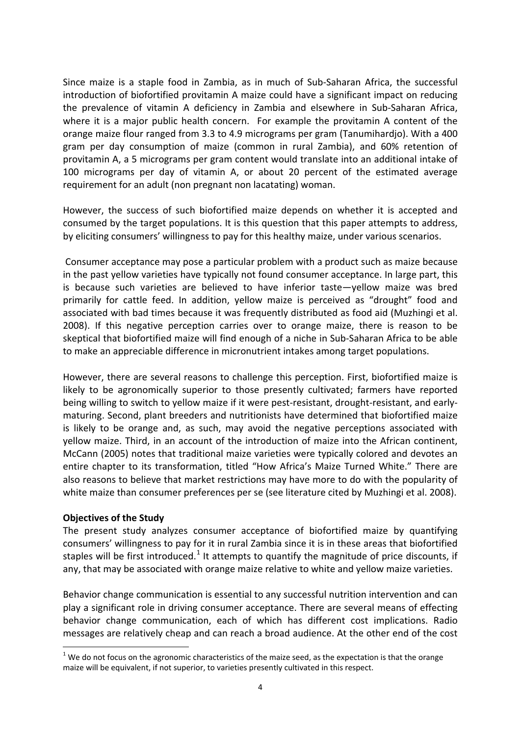Since maize is a staple food in Zambia, as in much of Sub-Saharan Africa, the successful introduction of biofortified provitamin A maize could have a significant impact on reducing the prevalence of vitamin A deficiency in Zambia and elsewhere in Sub-Saharan Africa, where it is a major public health concern. For example the provitamin A content of the orange maize flour ranged from 3.3 to 4.9 micrograms per gram (Tanumihardjo). With a 400 gram per day consumption of maize (common in rural Zambia), and 60% retention of provitamin A, a 5 micrograms per gram content would translate into an additional intake of 100 micrograms per day of vitamin A, or about 20 percent of the estimated average requirement for an adult (non pregnant non lacatating) woman.

However, the success of such biofortified maize depends on whether it is accepted and consumed by the target populations. It is this question that this paper attempts to address, by eliciting consumers' willingness to pay for this healthy maize, under various scenarios.

Consumer acceptance may pose a particular problem with a product such as maize because in the past yellow varieties have typically not found consumer acceptance. In large part, this is because such varieties are believed to have inferior taste—yellow maize was bred primarily for cattle feed. In addition, yellow maize is perceived as "drought" food and associated with bad times because it was frequently distributed as food aid (Muzhingi et al. 2008). If this negative perception carries over to orange maize, there is reason to be skeptical that biofortified maize will find enough of a niche in Sub-Saharan Africa to be able to make an appreciable difference in micronutrient intakes among target populations.

However, there are several reasons to challenge this perception. First, biofortified maize is likely to be agronomically superior to those presently cultivated; farmers have reported being willing to switch to yellow maize if it were pest-resistant, drought-resistant, and earlymaturing. Second, plant breeders and nutritionists have determined that biofortified maize is likely to be orange and, as such, may avoid the negative perceptions associated with yellow maize. Third, in an account of the introduction of maize into the African continent, McCann (2005) notes that traditional maize varieties were typically colored and devotes an entire chapter to its transformation, titled "How Africa's Maize Turned White." There are also reasons to believe that market restrictions may have more to do with the popularity of white maize than consumer preferences per se (see literature cited by Muzhingi et al. 2008).

#### <span id="page-4-0"></span>**Objectives of the Study**

-

The present study analyzes consumer acceptance of biofortified maize by quantifying consumers' willingness to pay for it in rural Zambia since it is in these areas that biofortified staples will be first introduced.<sup>[1](#page-4-1)</sup> It attempts to quantify the magnitude of price discounts, if any, that may be associated with orange maize relative to white and yellow maize varieties.

Behavior change communication is essential to any successful nutrition intervention and can play a significant role in driving consumer acceptance. There are several means of effecting behavior change communication, each of which has different cost implications. Radio messages are relatively cheap and can reach a broad audience. At the other end of the cost

<span id="page-4-1"></span> $1$  We do not focus on the agronomic characteristics of the maize seed, as the expectation is that the orange maize will be equivalent, if not superior, to varieties presently cultivated in this respect.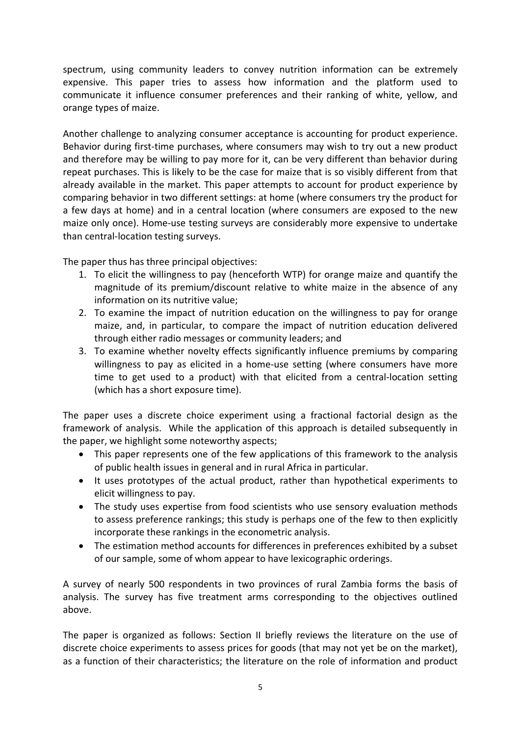spectrum, using community leaders to convey nutrition information can be extremely expensive. This paper tries to assess how information and the platform used to communicate it influence consumer preferences and their ranking of white, yellow, and orange types of maize.

Another challenge to analyzing consumer acceptance is accounting for product experience. Behavior during first-time purchases, where consumers may wish to try out a new product and therefore may be willing to pay more for it, can be very different than behavior during repeat purchases. This is likely to be the case for maize that is so visibly different from that already available in the market. This paper attempts to account for product experience by comparing behavior in two different settings: at home (where consumers try the product for a few days at home) and in a central location (where consumers are exposed to the new maize only once). Home-use testing surveys are considerably more expensive to undertake than central-location testing surveys.

The paper thus has three principal objectives:

- 1. To elicit the willingness to pay (henceforth WTP) for orange maize and quantify the magnitude of its premium/discount relative to white maize in the absence of any information on its nutritive value;
- 2. To examine the impact of nutrition education on the willingness to pay for orange maize, and, in particular, to compare the impact of nutrition education delivered through either radio messages or community leaders; and
- 3. To examine whether novelty effects significantly influence premiums by comparing willingness to pay as elicited in a home-use setting (where consumers have more time to get used to a product) with that elicited from a central-location setting (which has a short exposure time).

The paper uses a discrete choice experiment using a fractional factorial design as the framework of analysis. While the application of this approach is detailed subsequently in the paper, we highlight some noteworthy aspects;

- This paper represents one of the few applications of this framework to the analysis of public health issues in general and in rural Africa in particular.
- It uses prototypes of the actual product, rather than hypothetical experiments to elicit willingness to pay.
- The study uses expertise from food scientists who use sensory evaluation methods to assess preference rankings; this study is perhaps one of the few to then explicitly incorporate these rankings in the econometric analysis.
- The estimation method accounts for differences in preferences exhibited by a subset of our sample, some of whom appear to have lexicographic orderings.

A survey of nearly 500 respondents in two provinces of rural Zambia forms the basis of analysis. The survey has five treatment arms corresponding to the objectives outlined above.

The paper is organized as follows: Section II briefly reviews the literature on the use of discrete choice experiments to assess prices for goods (that may not yet be on the market), as a function of their characteristics; the literature on the role of information and product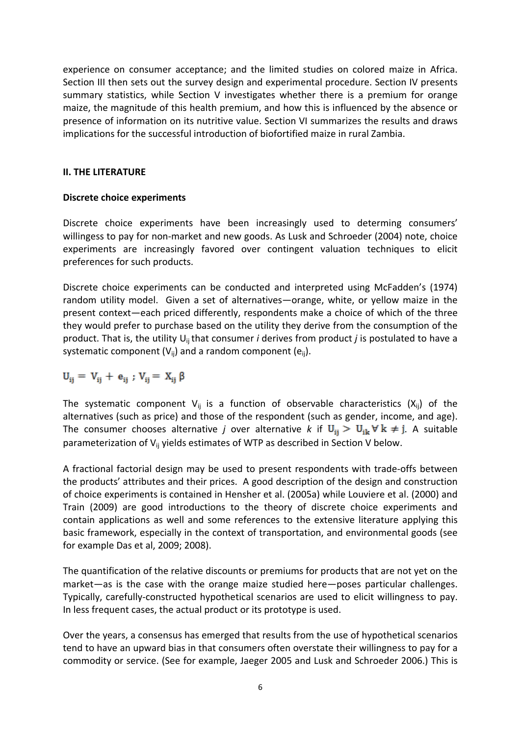experience on consumer acceptance; and the limited studies on colored maize in Africa. Section III then sets out the survey design and experimental procedure. Section IV presents summary statistics, while Section V investigates whether there is a premium for orange maize, the magnitude of this health premium, and how this is influenced by the absence or presence of information on its nutritive value. Section VI summarizes the results and draws implications for the successful introduction of biofortified maize in rural Zambia.

#### <span id="page-6-0"></span>**II. THE LITERATURE**

#### <span id="page-6-1"></span>**Discrete choice experiments**

Discrete choice experiments have been increasingly used to determing consumers' willingess to pay for non-market and new goods. As Lusk and Schroeder (2004) note, choice experiments are increasingly favored over contingent valuation techniques to elicit preferences for such products.

Discrete choice experiments can be conducted and interpreted using McFadden's (1974) random utility model. Given a set of alternatives—orange, white, or yellow maize in the present context—each priced differently, respondents make a choice of which of the three they would prefer to purchase based on the utility they derive from the consumption of the product. That is, the utility U<sub>ij</sub> that consumer *i* derives from product *j* is postulated to have a systematic component  $(V_{ii})$  and a random component ( $e_{ii}$ ).

$$
U_{ij} = \, V_{ij} \, + \, e_{ij} \, \, ; \, V_{ij} = \, X_{ij} \, \beta
$$

The systematic component  $V_{ij}$  is a function of observable characteristics  $(X_{ij})$  of the alternatives (such as price) and those of the respondent (such as gender, income, and age). The consumer chooses alternative *j* over alternative *k* if  $U_{ii} > U_{ik} \forall k \neq j$ . A suitable parameterization of V<sub>ii</sub> yields estimates of WTP as described in Section V below.

A fractional factorial design may be used to present respondents with trade-offs between the products' attributes and their prices. A good description of the design and construction of choice experiments is contained in Hensher et al. (2005a) while Louviere et al. (2000) and Train (2009) are good introductions to the theory of discrete choice experiments and contain applications as well and some references to the extensive literature applying this basic framework, especially in the context of transportation, and environmental goods (see for example Das et al, 2009; 2008).

The quantification of the relative discounts or premiums for products that are not yet on the market—as is the case with the orange maize studied here—poses particular challenges. Typically, carefully-constructed hypothetical scenarios are used to elicit willingness to pay. In less frequent cases, the actual product or its prototype is used.

Over the years, a consensus has emerged that results from the use of hypothetical scenarios tend to have an upward bias in that consumers often overstate their willingness to pay for a commodity or service. (See for example, Jaeger 2005 and Lusk and Schroeder 2006.) This is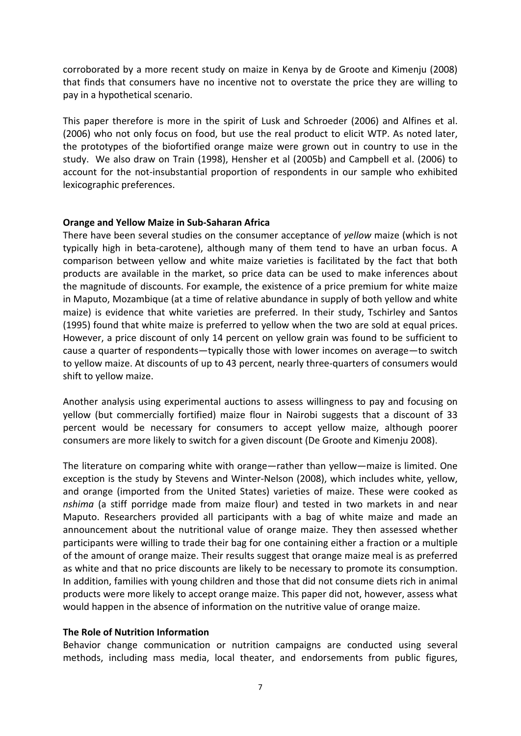corroborated by a more recent study on maize in Kenya by de Groote and Kimenju (2008) that finds that consumers have no incentive not to overstate the price they are willing to pay in a hypothetical scenario.

This paper therefore is more in the spirit of Lusk and Schroeder (2006) and Alfines et al. (2006) who not only focus on food, but use the real product to elicit WTP. As noted later, the prototypes of the biofortified orange maize were grown out in country to use in the study. We also draw on Train (1998), Hensher et al (2005b) and Campbell et al. (2006) to account for the not-insubstantial proportion of respondents in our sample who exhibited lexicographic preferences.

#### <span id="page-7-0"></span>**Orange and Yellow Maize in Sub-Saharan Africa**

There have been several studies on the consumer acceptance of *yellow* maize (which is not typically high in beta-carotene), although many of them tend to have an urban focus. A comparison between yellow and white maize varieties is facilitated by the fact that both products are available in the market, so price data can be used to make inferences about the magnitude of discounts. For example, the existence of a price premium for white maize in Maputo, Mozambique (at a time of relative abundance in supply of both yellow and white maize) is evidence that white varieties are preferred. In their study, Tschirley and Santos (1995) found that white maize is preferred to yellow when the two are sold at equal prices. However, a price discount of only 14 percent on yellow grain was found to be sufficient to cause a quarter of respondents—typically those with lower incomes on average—to switch to yellow maize. At discounts of up to 43 percent, nearly three-quarters of consumers would shift to yellow maize.

Another analysis using experimental auctions to assess willingness to pay and focusing on yellow (but commercially fortified) maize flour in Nairobi suggests that a discount of 33 percent would be necessary for consumers to accept yellow maize, although poorer consumers are more likely to switch for a given discount (De Groote and Kimenju 2008).

The literature on comparing white with orange—rather than yellow—maize is limited. One exception is the study by Stevens and Winter-Nelson (2008), which includes white, yellow, and orange (imported from the United States) varieties of maize. These were cooked as *nshima* (a stiff porridge made from maize flour) and tested in two markets in and near Maputo. Researchers provided all participants with a bag of white maize and made an announcement about the nutritional value of orange maize. They then assessed whether participants were willing to trade their bag for one containing either a fraction or a multiple of the amount of orange maize. Their results suggest that orange maize meal is as preferred as white and that no price discounts are likely to be necessary to promote its consumption. In addition, families with young children and those that did not consume diets rich in animal products were more likely to accept orange maize. This paper did not, however, assess what would happen in the absence of information on the nutritive value of orange maize.

#### <span id="page-7-1"></span>**The Role of Nutrition Information**

Behavior change communication or nutrition campaigns are conducted using several methods, including mass media, local theater, and endorsements from public figures,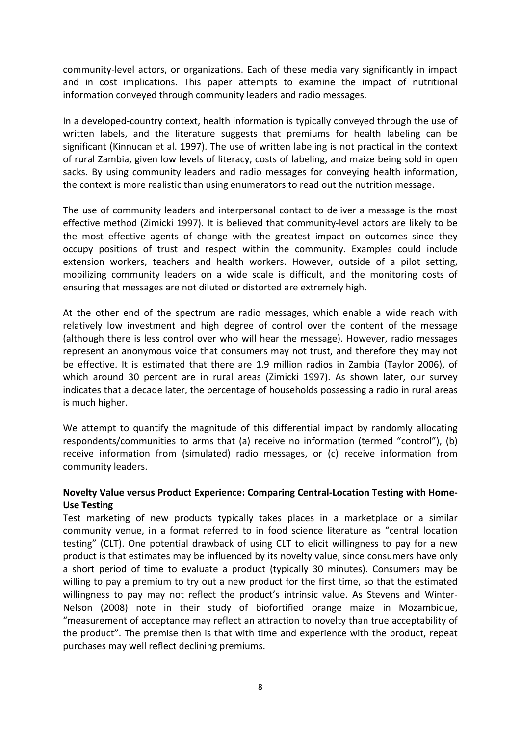community-level actors, or organizations. Each of these media vary significantly in impact and in cost implications. This paper attempts to examine the impact of nutritional information conveyed through community leaders and radio messages.

In a developed-country context, health information is typically conveyed through the use of written labels, and the literature suggests that premiums for health labeling can be significant (Kinnucan et al. 1997). The use of written labeling is not practical in the context of rural Zambia, given low levels of literacy, costs of labeling, and maize being sold in open sacks. By using community leaders and radio messages for conveying health information, the context is more realistic than using enumerators to read out the nutrition message.

The use of community leaders and interpersonal contact to deliver a message is the most effective method (Zimicki 1997). It is believed that community-level actors are likely to be the most effective agents of change with the greatest impact on outcomes since they occupy positions of trust and respect within the community. Examples could include extension workers, teachers and health workers. However, outside of a pilot setting, mobilizing community leaders on a wide scale is difficult, and the monitoring costs of ensuring that messages are not diluted or distorted are extremely high.

At the other end of the spectrum are radio messages, which enable a wide reach with relatively low investment and high degree of control over the content of the message (although there is less control over who will hear the message). However, radio messages represent an anonymous voice that consumers may not trust, and therefore they may not be effective. It is estimated that there are 1.9 million radios in Zambia (Taylor 2006), of which around 30 percent are in rural areas (Zimicki 1997). As shown later, our survey indicates that a decade later, the percentage of households possessing a radio in rural areas is much higher.

We attempt to quantify the magnitude of this differential impact by randomly allocating respondents/communities to arms that (a) receive no information (termed "control"), (b) receive information from (simulated) radio messages, or (c) receive information from community leaders.

## <span id="page-8-0"></span>**Novelty Value versus Product Experience: Comparing Central-Location Testing with Home-Use Testing**

Test marketing of new products typically takes places in a marketplace or a similar community venue, in a format referred to in food science literature as "central location testing" (CLT). One potential drawback of using CLT to elicit willingness to pay for a new product is that estimates may be influenced by its novelty value, since consumers have only a short period of time to evaluate a product (typically 30 minutes). Consumers may be willing to pay a premium to try out a new product for the first time, so that the estimated willingness to pay may not reflect the product's intrinsic value. As Stevens and Winter-Nelson (2008) note in their study of biofortified orange maize in Mozambique, "measurement of acceptance may reflect an attraction to novelty than true acceptability of the product". The premise then is that with time and experience with the product, repeat purchases may well reflect declining premiums.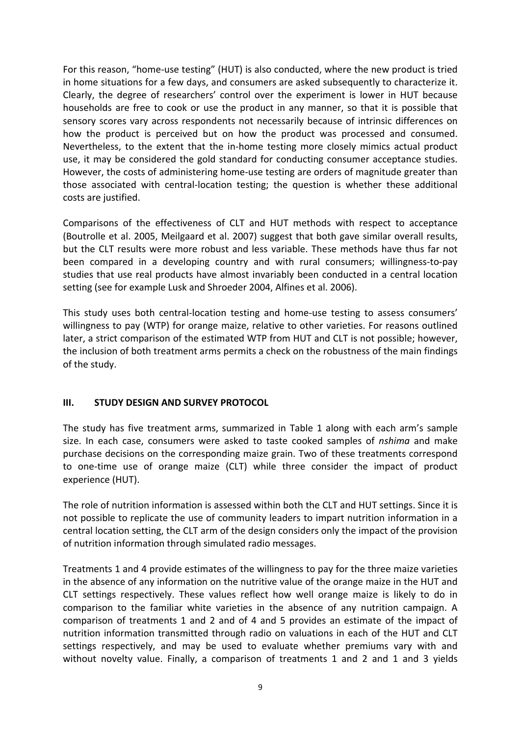For this reason, "home-use testing" (HUT) is also conducted, where the new product is tried in home situations for a few days, and consumers are asked subsequently to characterize it. Clearly, the degree of researchers' control over the experiment is lower in HUT because households are free to cook or use the product in any manner, so that it is possible that sensory scores vary across respondents not necessarily because of intrinsic differences on how the product is perceived but on how the product was processed and consumed. Nevertheless, to the extent that the in-home testing more closely mimics actual product use, it may be considered the gold standard for conducting consumer acceptance studies. However, the costs of administering home-use testing are orders of magnitude greater than those associated with central-location testing; the question is whether these additional costs are justified.

Comparisons of the effectiveness of CLT and HUT methods with respect to acceptance (Boutrolle et al. 2005, Meilgaard et al. 2007) suggest that both gave similar overall results, but the CLT results were more robust and less variable. These methods have thus far not been compared in a developing country and with rural consumers; willingness-to-pay studies that use real products have almost invariably been conducted in a central location setting (see for example Lusk and Shroeder 2004, Alfines et al. 2006).

This study uses both central-location testing and home-use testing to assess consumers' willingness to pay (WTP) for orange maize, relative to other varieties. For reasons outlined later, a strict comparison of the estimated WTP from HUT and CLT is not possible; however, the inclusion of both treatment arms permits a check on the robustness of the main findings of the study.

## <span id="page-9-0"></span>**III. STUDY DESIGN AND SURVEY PROTOCOL**

The study has five treatment arms, summarized in Table 1 along with each arm's sample size. In each case, consumers were asked to taste cooked samples of *nshima* and make purchase decisions on the corresponding maize grain. Two of these treatments correspond to one-time use of orange maize (CLT) while three consider the impact of product experience (HUT).

The role of nutrition information is assessed within both the CLT and HUT settings. Since it is not possible to replicate the use of community leaders to impart nutrition information in a central location setting, the CLT arm of the design considers only the impact of the provision of nutrition information through simulated radio messages.

Treatments 1 and 4 provide estimates of the willingness to pay for the three maize varieties in the absence of any information on the nutritive value of the orange maize in the HUT and CLT settings respectively. These values reflect how well orange maize is likely to do in comparison to the familiar white varieties in the absence of any nutrition campaign. A comparison of treatments 1 and 2 and of 4 and 5 provides an estimate of the impact of nutrition information transmitted through radio on valuations in each of the HUT and CLT settings respectively, and may be used to evaluate whether premiums vary with and without novelty value. Finally, a comparison of treatments 1 and 2 and 1 and 3 yields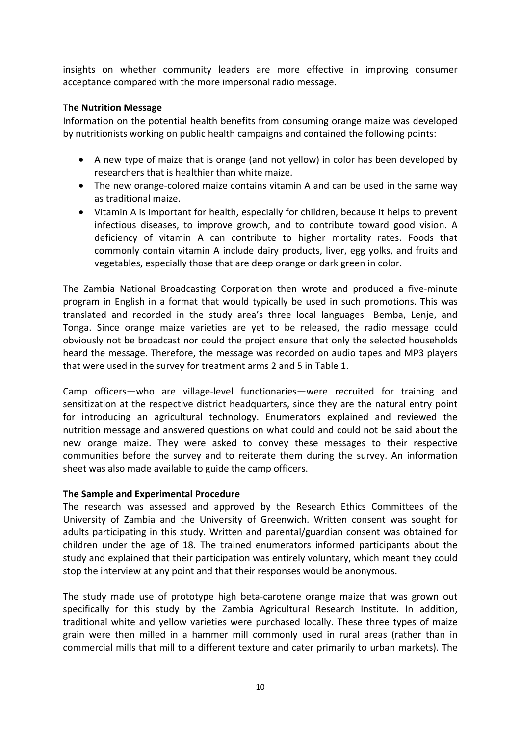insights on whether community leaders are more effective in improving consumer acceptance compared with the more impersonal radio message.

#### <span id="page-10-0"></span>**The Nutrition Message**

Information on the potential health benefits from consuming orange maize was developed by nutritionists working on public health campaigns and contained the following points:

- A new type of maize that is orange (and not yellow) in color has been developed by researchers that is healthier than white maize.
- The new orange-colored maize contains vitamin A and can be used in the same way as traditional maize.
- Vitamin A is important for health, especially for children, because it helps to prevent infectious diseases, to improve growth, and to contribute toward good vision. A deficiency of vitamin A can contribute to higher mortality rates. Foods that commonly contain vitamin A include dairy products, liver, egg yolks, and fruits and vegetables, especially those that are deep orange or dark green in color.

The Zambia National Broadcasting Corporation then wrote and produced a five-minute program in English in a format that would typically be used in such promotions. This was translated and recorded in the study area's three local languages—Bemba, Lenje, and Tonga. Since orange maize varieties are yet to be released, the radio message could obviously not be broadcast nor could the project ensure that only the selected households heard the message. Therefore, the message was recorded on audio tapes and MP3 players that were used in the survey for treatment arms 2 and 5 in Table 1.

Camp officers—who are village-level functionaries—were recruited for training and sensitization at the respective district headquarters, since they are the natural entry point for introducing an agricultural technology. Enumerators explained and reviewed the nutrition message and answered questions on what could and could not be said about the new orange maize. They were asked to convey these messages to their respective communities before the survey and to reiterate them during the survey. An information sheet was also made available to guide the camp officers.

#### <span id="page-10-1"></span>**The Sample and Experimental Procedure**

The research was assessed and approved by the Research Ethics Committees of the University of Zambia and the University of Greenwich. Written consent was sought for adults participating in this study. Written and parental/guardian consent was obtained for children under the age of 18. The trained enumerators informed participants about the study and explained that their participation was entirely voluntary, which meant they could stop the interview at any point and that their responses would be anonymous.

The study made use of prototype high beta-carotene orange maize that was grown out specifically for this study by the Zambia Agricultural Research Institute. In addition, traditional white and yellow varieties were purchased locally. These three types of maize grain were then milled in a hammer mill commonly used in rural areas (rather than in commercial mills that mill to a different texture and cater primarily to urban markets). The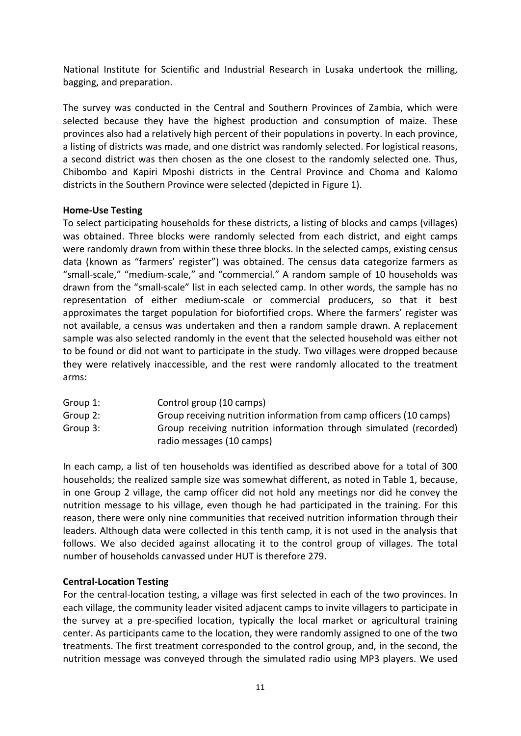National Institute for Scientific and Industrial Research in Lusaka undertook the milling, bagging, and preparation.

The survey was conducted in the Central and Southern Provinces of Zambia, which were selected because they have the highest production and consumption of maize. These provinces also had a relatively high percent of their populations in poverty. In each province, a listing of districts was made, and one district was randomly selected. For logistical reasons, a second district was then chosen as the one closest to the randomly selected one. Thus, Chibombo and Kapiri Mposhi districts in the Central Province and Choma and Kalomo districts in the Southern Province were selected (depicted in Figure 1).

#### <span id="page-11-0"></span>**Home-Use Testing**

To select participating households for these districts, a listing of blocks and camps (villages) was obtained. Three blocks were randomly selected from each district, and eight camps were randomly drawn from within these three blocks. In the selected camps, existing census data (known as "farmers' register") was obtained. The census data categorize farmers as "small-scale," "medium-scale," and "commercial." A random sample of 10 households was drawn from the "small-scale" list in each selected camp. In other words, the sample has no representation of either medium-scale or commercial producers, so that it best approximates the target population for biofortified crops. Where the farmers' register was not available, a census was undertaken and then a random sample drawn. A replacement sample was also selected randomly in the event that the selected household was either not to be found or did not want to participate in the study. Two villages were dropped because they were relatively inaccessible, and the rest were randomly allocated to the treatment arms:

| Group 1: | Control group (10 camps)                                            |
|----------|---------------------------------------------------------------------|
| Group 2: | Group receiving nutrition information from camp officers (10 camps) |
| Group 3: | Group receiving nutrition information through simulated (recorded)  |
|          | radio messages (10 camps)                                           |

In each camp, a list of ten households was identified as described above for a total of 300 households; the realized sample size was somewhat different, as noted in Table 1, because, in one Group 2 village, the camp officer did not hold any meetings nor did he convey the nutrition message to his village, even though he had participated in the training. For this reason, there were only nine communities that received nutrition information through their leaders. Although data were collected in this tenth camp, it is not used in the analysis that follows. We also decided against allocating it to the control group of villages. The total number of households canvassed under HUT is therefore 279.

## <span id="page-11-1"></span>**Central-Location Testing**

For the central-location testing, a village was first selected in each of the two provinces. In each village, the community leader visited adjacent camps to invite villagers to participate in the survey at a pre-specified location, typically the local market or agricultural training center. As participants came to the location, they were randomly assigned to one of the two treatments. The first treatment corresponded to the control group, and, in the second, the nutrition message was conveyed through the simulated radio using MP3 players. We used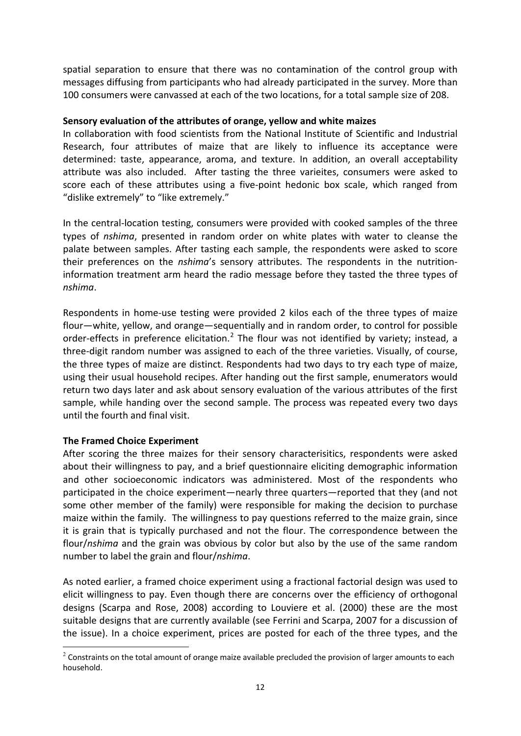spatial separation to ensure that there was no contamination of the control group with messages diffusing from participants who had already participated in the survey. More than 100 consumers were canvassed at each of the two locations, for a total sample size of 208.

#### **Sensory evaluation of the attributes of orange, yellow and white maizes**

In collaboration with food scientists from the National Institute of Scientific and Industrial Research, four attributes of maize that are likely to influence its acceptance were determined: taste, appearance, aroma, and texture. In addition, an overall acceptability attribute was also included. After tasting the three varieites, consumers were asked to score each of these attributes using a five-point hedonic box scale, which ranged from "dislike extremely" to "like extremely."

In the central-location testing, consumers were provided with cooked samples of the three types of *nshima*, presented in random order on white plates with water to cleanse the palate between samples. After tasting each sample, the respondents were asked to score their preferences on the *nshima*'s sensory attributes. The respondents in the nutritioninformation treatment arm heard the radio message before they tasted the three types of *nshima*.

Respondents in home-use testing were provided 2 kilos each of the three types of maize flour—white, yellow, and orange—sequentially and in random order, to control for possible order-effects in preference elicitation.<sup>[2](#page-12-1)</sup> The flour was not identified by variety; instead, a three-digit random number was assigned to each of the three varieties. Visually, of course, the three types of maize are distinct. Respondents had two days to try each type of maize, using their usual household recipes. After handing out the first sample, enumerators would return two days later and ask about sensory evaluation of the various attributes of the first sample, while handing over the second sample. The process was repeated every two days until the fourth and final visit.

## <span id="page-12-0"></span>**The Framed Choice Experiment**

After scoring the three maizes for their sensory characterisitics, respondents were asked about their willingness to pay, and a brief questionnaire eliciting demographic information and other socioeconomic indicators was administered. Most of the respondents who participated in the choice experiment—nearly three quarters—reported that they (and not some other member of the family) were responsible for making the decision to purchase maize within the family. The willingness to pay questions referred to the maize grain, since it is grain that is typically purchased and not the flour. The correspondence between the flour/*nshima* and the grain was obvious by color but also by the use of the same random number to label the grain and flour/*nshima*.

As noted earlier, a framed choice experiment using a fractional factorial design was used to elicit willingness to pay. Even though there are concerns over the efficiency of orthogonal designs (Scarpa and Rose, 2008) according to Louviere et al. (2000) these are the most suitable designs that are currently available (see Ferrini and Scarpa, 2007 for a discussion of the issue). In a choice experiment, prices are posted for each of the three types, and the

<span id="page-12-1"></span><sup>-</sup> $2$  Constraints on the total amount of orange maize available precluded the provision of larger amounts to each household.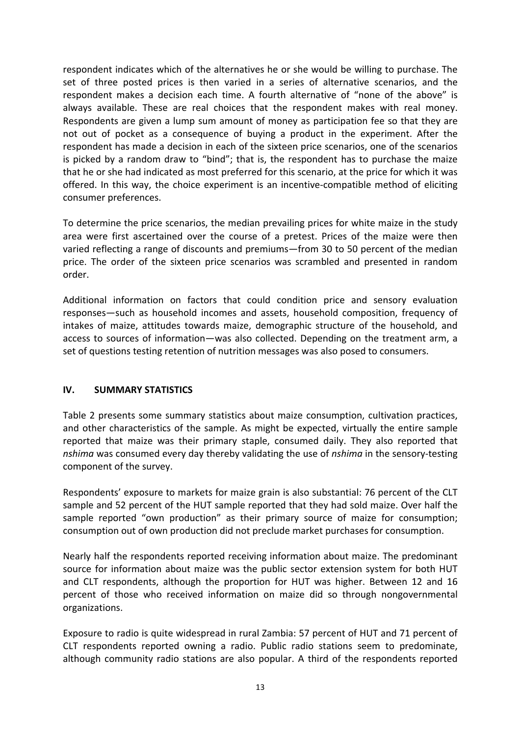respondent indicates which of the alternatives he or she would be willing to purchase. The set of three posted prices is then varied in a series of alternative scenarios, and the respondent makes a decision each time. A fourth alternative of "none of the above" is always available. These are real choices that the respondent makes with real money. Respondents are given a lump sum amount of money as participation fee so that they are not out of pocket as a consequence of buying a product in the experiment. After the respondent has made a decision in each of the sixteen price scenarios, one of the scenarios is picked by a random draw to "bind"; that is, the respondent has to purchase the maize that he or she had indicated as most preferred for this scenario, at the price for which it was offered. In this way, the choice experiment is an incentive-compatible method of eliciting consumer preferences.

To determine the price scenarios, the median prevailing prices for white maize in the study area were first ascertained over the course of a pretest. Prices of the maize were then varied reflecting a range of discounts and premiums—from 30 to 50 percent of the median price. The order of the sixteen price scenarios was scrambled and presented in random order.

Additional information on factors that could condition price and sensory evaluation responses—such as household incomes and assets, household composition, frequency of intakes of maize, attitudes towards maize, demographic structure of the household, and access to sources of information—was also collected. Depending on the treatment arm, a set of questions testing retention of nutrition messages was also posed to consumers.

## <span id="page-13-0"></span>**IV. SUMMARY STATISTICS**

Table 2 presents some summary statistics about maize consumption, cultivation practices, and other characteristics of the sample. As might be expected, virtually the entire sample reported that maize was their primary staple, consumed daily. They also reported that *nshima* was consumed every day thereby validating the use of *nshima* in the sensory-testing component of the survey.

Respondents' exposure to markets for maize grain is also substantial: 76 percent of the CLT sample and 52 percent of the HUT sample reported that they had sold maize. Over half the sample reported "own production" as their primary source of maize for consumption; consumption out of own production did not preclude market purchases for consumption.

Nearly half the respondents reported receiving information about maize. The predominant source for information about maize was the public sector extension system for both HUT and CLT respondents, although the proportion for HUT was higher. Between 12 and 16 percent of those who received information on maize did so through nongovernmental organizations.

Exposure to radio is quite widespread in rural Zambia: 57 percent of HUT and 71 percent of CLT respondents reported owning a radio. Public radio stations seem to predominate, although community radio stations are also popular. A third of the respondents reported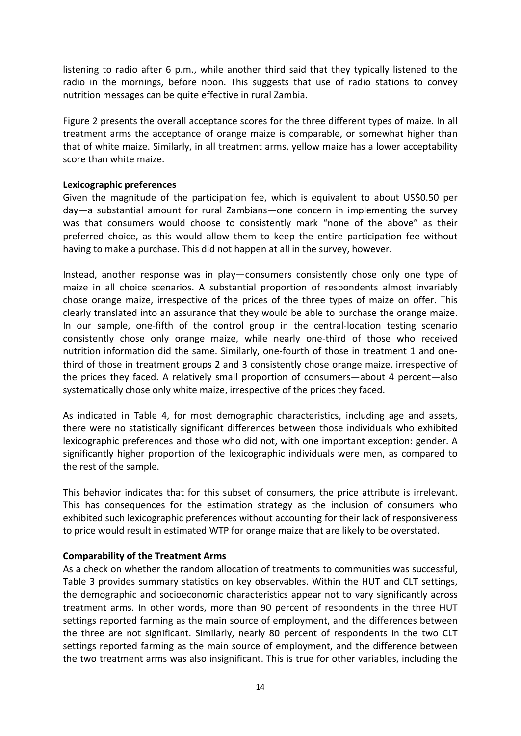listening to radio after 6 p.m., while another third said that they typically listened to the radio in the mornings, before noon. This suggests that use of radio stations to convey nutrition messages can be quite effective in rural Zambia.

Figure 2 presents the overall acceptance scores for the three different types of maize. In all treatment arms the acceptance of orange maize is comparable, or somewhat higher than that of white maize. Similarly, in all treatment arms, yellow maize has a lower acceptability score than white maize.

#### <span id="page-14-0"></span>**Lexicographic preferences**

Given the magnitude of the participation fee, which is equivalent to about US\$0.50 per day—a substantial amount for rural Zambians—one concern in implementing the survey was that consumers would choose to consistently mark "none of the above" as their preferred choice, as this would allow them to keep the entire participation fee without having to make a purchase. This did not happen at all in the survey, however.

Instead, another response was in play—consumers consistently chose only one type of maize in all choice scenarios. A substantial proportion of respondents almost invariably chose orange maize, irrespective of the prices of the three types of maize on offer. This clearly translated into an assurance that they would be able to purchase the orange maize. In our sample, one-fifth of the control group in the central-location testing scenario consistently chose only orange maize, while nearly one-third of those who received nutrition information did the same. Similarly, one-fourth of those in treatment 1 and onethird of those in treatment groups 2 and 3 consistently chose orange maize, irrespective of the prices they faced. A relatively small proportion of consumers—about 4 percent—also systematically chose only white maize, irrespective of the prices they faced.

As indicated in Table 4, for most demographic characteristics, including age and assets, there were no statistically significant differences between those individuals who exhibited lexicographic preferences and those who did not, with one important exception: gender. A significantly higher proportion of the lexicographic individuals were men, as compared to the rest of the sample.

This behavior indicates that for this subset of consumers, the price attribute is irrelevant. This has consequences for the estimation strategy as the inclusion of consumers who exhibited such lexicographic preferences without accounting for their lack of responsiveness to price would result in estimated WTP for orange maize that are likely to be overstated.

## <span id="page-14-1"></span>**Comparability of the Treatment Arms**

As a check on whether the random allocation of treatments to communities was successful, Table 3 provides summary statistics on key observables. Within the HUT and CLT settings, the demographic and socioeconomic characteristics appear not to vary significantly across treatment arms. In other words, more than 90 percent of respondents in the three HUT settings reported farming as the main source of employment, and the differences between the three are not significant. Similarly, nearly 80 percent of respondents in the two CLT settings reported farming as the main source of employment, and the difference between the two treatment arms was also insignificant. This is true for other variables, including the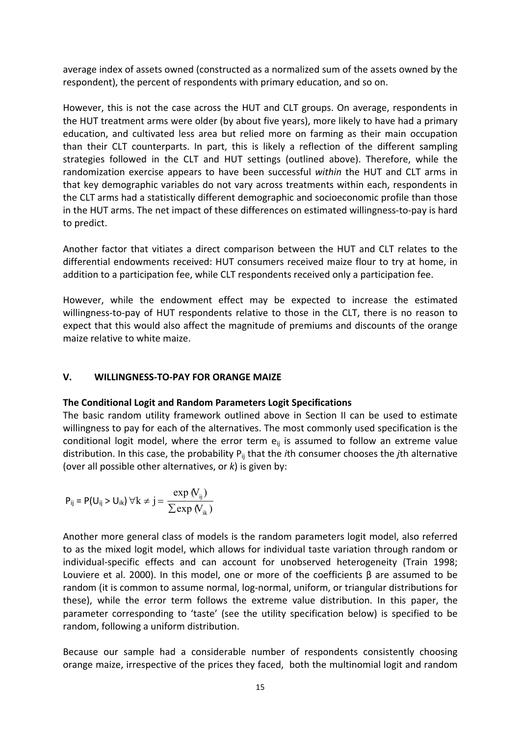average index of assets owned (constructed as a normalized sum of the assets owned by the respondent), the percent of respondents with primary education, and so on.

However, this is not the case across the HUT and CLT groups. On average, respondents in the HUT treatment arms were older (by about five years), more likely to have had a primary education, and cultivated less area but relied more on farming as their main occupation than their CLT counterparts. In part, this is likely a reflection of the different sampling strategies followed in the CLT and HUT settings (outlined above). Therefore, while the randomization exercise appears to have been successful *within* the HUT and CLT arms in that key demographic variables do not vary across treatments within each, respondents in the CLT arms had a statistically different demographic and socioeconomic profile than those in the HUT arms. The net impact of these differences on estimated willingness-to-pay is hard to predict.

Another factor that vitiates a direct comparison between the HUT and CLT relates to the differential endowments received: HUT consumers received maize flour to try at home, in addition to a participation fee, while CLT respondents received only a participation fee.

However, while the endowment effect may be expected to increase the estimated willingness-to-pay of HUT respondents relative to those in the CLT, there is no reason to expect that this would also affect the magnitude of premiums and discounts of the orange maize relative to white maize.

## <span id="page-15-0"></span>**V. WILLINGNESS-TO-PAY FOR ORANGE MAIZE**

#### <span id="page-15-1"></span>**The Conditional Logit and Random Parameters Logit Specifications**

The basic random utility framework outlined above in Section II can be used to estimate willingness to pay for each of the alternatives. The most commonly used specification is the conditional logit model, where the error term  $e_{ii}$  is assumed to follow an extreme value distribution. In this case, the probability P<sub>ii</sub> that the *i*th consumer chooses the *j*th alternative (over all possible other alternatives, or *k*) is given by:

$$
P_{ij} = P(U_{ij} > U_{ik}) \ \forall k \neq j = \frac{\exp(V_{ij})}{\sum \exp(V_{ik})}
$$

Another more general class of models is the random parameters logit model, also referred to as the mixed logit model, which allows for individual taste variation through random or individual-specific effects and can account for unobserved heterogeneity (Train 1998; Louviere et al. 2000). In this model, one or more of the coefficients β are assumed to be random (it is common to assume normal, log-normal, uniform, or triangular distributions for these), while the error term follows the extreme value distribution. In this paper, the parameter corresponding to 'taste' (see the utility specification below) is specified to be random, following a uniform distribution.

Because our sample had a considerable number of respondents consistently choosing orange maize, irrespective of the prices they faced, both the multinomial logit and random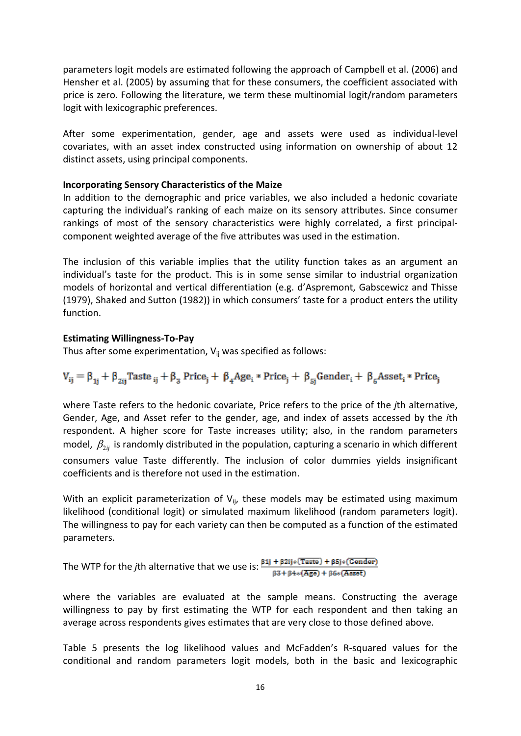parameters logit models are estimated following the approach of Campbell et al. (2006) and Hensher et al. (2005) by assuming that for these consumers, the coefficient associated with price is zero. Following the literature, we term these multinomial logit/random parameters logit with lexicographic preferences.

After some experimentation, gender, age and assets were used as individual-level covariates, with an asset index constructed using information on ownership of about 12 distinct assets, using principal components.

#### <span id="page-16-0"></span>**Incorporating Sensory Characteristics of the Maize**

In addition to the demographic and price variables, we also included a hedonic covariate capturing the individual's ranking of each maize on its sensory attributes. Since consumer rankings of most of the sensory characteristics were highly correlated, a first principalcomponent weighted average of the five attributes was used in the estimation.

The inclusion of this variable implies that the utility function takes as an argument an individual's taste for the product. This is in some sense similar to industrial organization models of horizontal and vertical differentiation (e.g. d'Aspremont, Gabscewicz and Thisse (1979), Shaked and Sutton (1982)) in which consumers' taste for a product enters the utility function.

#### <span id="page-16-1"></span>**Estimating Willingness-To-Pay**

Thus after some experimentation,  $V_{ij}$  was specified as follows:

$$
V_{ij}=\beta_{1j}+\beta_{2ij} \text{Taste}_{ij}+\beta_{3} \text{ Price}_{j}+\ \beta_{4} \text{Age}_{i}*\text{Price}_{j}+\ \beta_{5j} \text{Gender}_{i}+\ \beta_{6} \text{Asset}_{i}*\text{Price}_{j}
$$

where Taste refers to the hedonic covariate, Price refers to the price of the *j*th alternative, Gender, Age, and Asset refer to the gender, age, and index of assets accessed by the *i*th respondent. A higher score for Taste increases utility; also, in the random parameters model,  $\beta_{2ii}$  is randomly distributed in the population, capturing a scenario in which different consumers value Taste differently. The inclusion of color dummies yields insignificant coefficients and is therefore not used in the estimation.

With an explicit parameterization of  $V_{ij}$ , these models may be estimated using maximum likelihood (conditional logit) or simulated maximum likelihood (random parameters logit). The willingness to pay for each variety can then be computed as a function of the estimated parameters.

The WTP for the *j*th alternative that we use is:  $\frac{\beta 1j + \beta 2ij*(Taste) + \beta 5j*(Gender)}{\beta 3 + \beta 4*(Agen) + \beta 6*(Asset)}$ 

where the variables are evaluated at the sample means. Constructing the average willingness to pay by first estimating the WTP for each respondent and then taking an average across respondents gives estimates that are very close to those defined above.

Table 5 presents the log likelihood values and McFadden's R-squared values for the conditional and random parameters logit models, both in the basic and lexicographic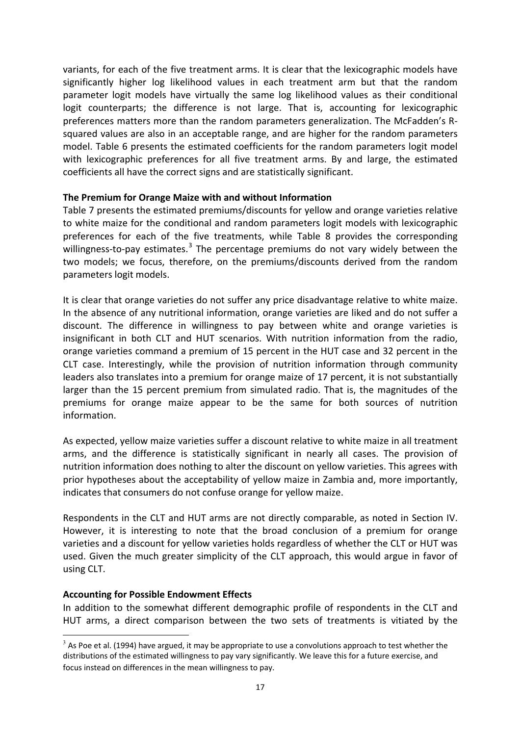variants, for each of the five treatment arms. It is clear that the lexicographic models have significantly higher log likelihood values in each treatment arm but that the random parameter logit models have virtually the same log likelihood values as their conditional logit counterparts; the difference is not large. That is, accounting for lexicographic preferences matters more than the random parameters generalization. The McFadden's Rsquared values are also in an acceptable range, and are higher for the random parameters model. Table 6 presents the estimated coefficients for the random parameters logit model with lexicographic preferences for all five treatment arms. By and large, the estimated coefficients all have the correct signs and are statistically significant.

#### <span id="page-17-0"></span>**The Premium for Orange Maize with and without Information**

Table 7 presents the estimated premiums/discounts for yellow and orange varieties relative to white maize for the conditional and random parameters logit models with lexicographic preferences for each of the five treatments, while Table 8 provides the corresponding willingness-to-pay estimates.<sup>[3](#page-17-2)</sup> The percentage premiums do not vary widely between the two models; we focus, therefore, on the premiums/discounts derived from the random parameters logit models.

It is clear that orange varieties do not suffer any price disadvantage relative to white maize. In the absence of any nutritional information, orange varieties are liked and do not suffer a discount. The difference in willingness to pay between white and orange varieties is insignificant in both CLT and HUT scenarios. With nutrition information from the radio, orange varieties command a premium of 15 percent in the HUT case and 32 percent in the CLT case. Interestingly, while the provision of nutrition information through community leaders also translates into a premium for orange maize of 17 percent, it is not substantially larger than the 15 percent premium from simulated radio. That is, the magnitudes of the premiums for orange maize appear to be the same for both sources of nutrition information.

As expected, yellow maize varieties suffer a discount relative to white maize in all treatment arms, and the difference is statistically significant in nearly all cases. The provision of nutrition information does nothing to alter the discount on yellow varieties. This agrees with prior hypotheses about the acceptability of yellow maize in Zambia and, more importantly, indicates that consumers do not confuse orange for yellow maize.

Respondents in the CLT and HUT arms are not directly comparable, as noted in Section IV. However, it is interesting to note that the broad conclusion of a premium for orange varieties and a discount for yellow varieties holds regardless of whether the CLT or HUT was used. Given the much greater simplicity of the CLT approach, this would argue in favor of using CLT.

#### <span id="page-17-1"></span>**Accounting for Possible Endowment Effects**

-

In addition to the somewhat different demographic profile of respondents in the CLT and HUT arms, a direct comparison between the two sets of treatments is vitiated by the

<span id="page-17-2"></span> $3$  As Poe et al. (1994) have argued, it may be appropriate to use a convolutions approach to test whether the distributions of the estimated willingness to pay vary significantly. We leave this for a future exercise, and focus instead on differences in the mean willingness to pay.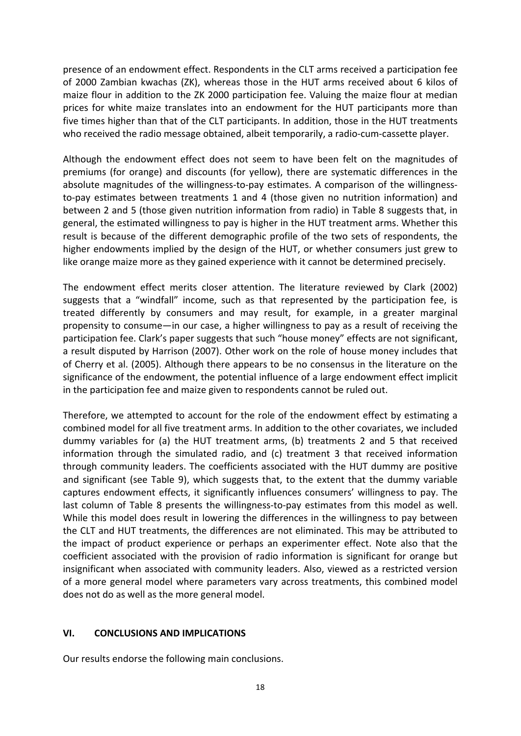presence of an endowment effect. Respondents in the CLT arms received a participation fee of 2000 Zambian kwachas (ZK), whereas those in the HUT arms received about 6 kilos of maize flour in addition to the ZK 2000 participation fee. Valuing the maize flour at median prices for white maize translates into an endowment for the HUT participants more than five times higher than that of the CLT participants. In addition, those in the HUT treatments who received the radio message obtained, albeit temporarily, a radio-cum-cassette player.

Although the endowment effect does not seem to have been felt on the magnitudes of premiums (for orange) and discounts (for yellow), there are systematic differences in the absolute magnitudes of the willingness-to-pay estimates. A comparison of the willingnessto-pay estimates between treatments 1 and 4 (those given no nutrition information) and between 2 and 5 (those given nutrition information from radio) in Table 8 suggests that, in general, the estimated willingness to pay is higher in the HUT treatment arms. Whether this result is because of the different demographic profile of the two sets of respondents, the higher endowments implied by the design of the HUT, or whether consumers just grew to like orange maize more as they gained experience with it cannot be determined precisely.

The endowment effect merits closer attention. The literature reviewed by Clark (2002) suggests that a "windfall" income, such as that represented by the participation fee, is treated differently by consumers and may result, for example, in a greater marginal propensity to consume—in our case, a higher willingness to pay as a result of receiving the participation fee. Clark's paper suggests that such "house money" effects are not significant, a result disputed by Harrison (2007). Other work on the role of house money includes that of Cherry et al. (2005). Although there appears to be no consensus in the literature on the significance of the endowment, the potential influence of a large endowment effect implicit in the participation fee and maize given to respondents cannot be ruled out.

Therefore, we attempted to account for the role of the endowment effect by estimating a combined model for all five treatment arms. In addition to the other covariates, we included dummy variables for (a) the HUT treatment arms, (b) treatments 2 and 5 that received information through the simulated radio, and (c) treatment 3 that received information through community leaders. The coefficients associated with the HUT dummy are positive and significant (see Table 9), which suggests that, to the extent that the dummy variable captures endowment effects, it significantly influences consumers' willingness to pay. The last column of Table 8 presents the willingness-to-pay estimates from this model as well. While this model does result in lowering the differences in the willingness to pay between the CLT and HUT treatments, the differences are not eliminated. This may be attributed to the impact of product experience or perhaps an experimenter effect. Note also that the coefficient associated with the provision of radio information is significant for orange but insignificant when associated with community leaders. Also, viewed as a restricted version of a more general model where parameters vary across treatments, this combined model does not do as well as the more general model.

#### <span id="page-18-0"></span>**VI. CONCLUSIONS AND IMPLICATIONS**

Our results endorse the following main conclusions.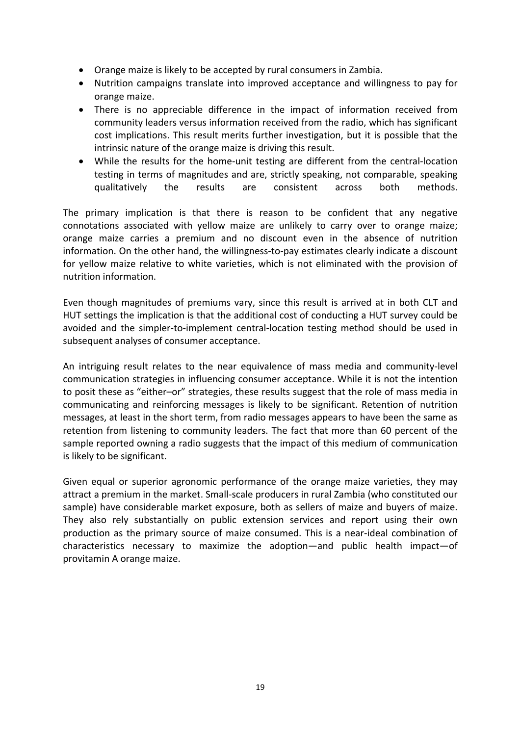- Orange maize is likely to be accepted by rural consumers in Zambia.
- Nutrition campaigns translate into improved acceptance and willingness to pay for orange maize.
- There is no appreciable difference in the impact of information received from community leaders versus information received from the radio, which has significant cost implications. This result merits further investigation, but it is possible that the intrinsic nature of the orange maize is driving this result.
- While the results for the home-unit testing are different from the central-location testing in terms of magnitudes and are, strictly speaking, not comparable, speaking qualitatively the results are consistent across both methods.

The primary implication is that there is reason to be confident that any negative connotations associated with yellow maize are unlikely to carry over to orange maize; orange maize carries a premium and no discount even in the absence of nutrition information. On the other hand, the willingness-to-pay estimates clearly indicate a discount for yellow maize relative to white varieties, which is not eliminated with the provision of nutrition information.

Even though magnitudes of premiums vary, since this result is arrived at in both CLT and HUT settings the implication is that the additional cost of conducting a HUT survey could be avoided and the simpler-to-implement central-location testing method should be used in subsequent analyses of consumer acceptance.

An intriguing result relates to the near equivalence of mass media and community-level communication strategies in influencing consumer acceptance. While it is not the intention to posit these as "either–or" strategies, these results suggest that the role of mass media in communicating and reinforcing messages is likely to be significant. Retention of nutrition messages, at least in the short term, from radio messages appears to have been the same as retention from listening to community leaders. The fact that more than 60 percent of the sample reported owning a radio suggests that the impact of this medium of communication is likely to be significant.

Given equal or superior agronomic performance of the orange maize varieties, they may attract a premium in the market. Small-scale producers in rural Zambia (who constituted our sample) have considerable market exposure, both as sellers of maize and buyers of maize. They also rely substantially on public extension services and report using their own production as the primary source of maize consumed. This is a near-ideal combination of characteristics necessary to maximize the adoption—and public health impact—of provitamin A orange maize.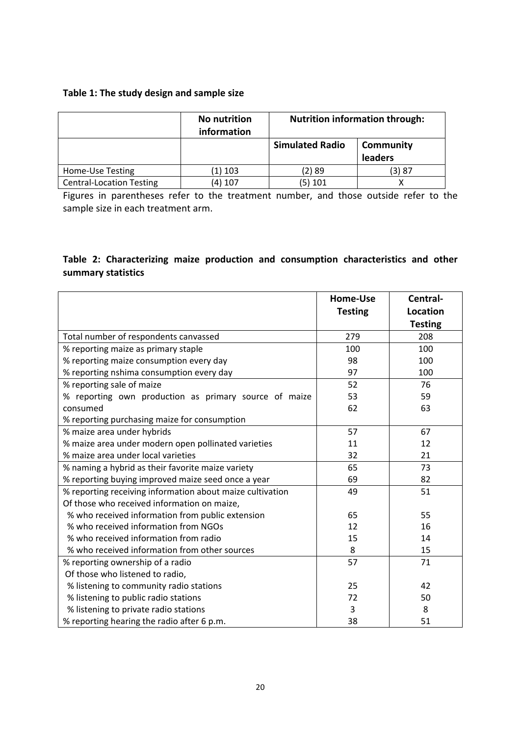## **Table 1: The study design and sample size**

|                                 | <b>No nutrition</b><br>information |                        | <b>Nutrition information through:</b> |
|---------------------------------|------------------------------------|------------------------|---------------------------------------|
|                                 |                                    | <b>Simulated Radio</b> | Community<br><b>leaders</b>           |
| Home-Use Testing                | (1) 103                            | (2)89                  | (3) 87                                |
| <b>Central-Location Testing</b> | (4) 107                            | (5) 101                | x                                     |

Figures in parentheses refer to the treatment number, and those outside refer to the sample size in each treatment arm.

## **Table 2: Characterizing maize production and consumption characteristics and other summary statistics**

|                                                           | Home-Use       | Central-        |
|-----------------------------------------------------------|----------------|-----------------|
|                                                           | <b>Testing</b> | <b>Location</b> |
|                                                           |                | <b>Testing</b>  |
| Total number of respondents canvassed                     | 279            | 208             |
| % reporting maize as primary staple                       | 100            | 100             |
| % reporting maize consumption every day                   | 98             | 100             |
| % reporting nshima consumption every day                  | 97             | 100             |
| % reporting sale of maize                                 | 52             | 76              |
| % reporting own production as primary source of maize     | 53             | 59              |
| consumed                                                  | 62             | 63              |
| % reporting purchasing maize for consumption              |                |                 |
| % maize area under hybrids                                | 57             | 67              |
| % maize area under modern open pollinated varieties       | 11             | 12              |
| % maize area under local varieties                        | 32             | 21              |
| % naming a hybrid as their favorite maize variety         | 65             | 73              |
| % reporting buying improved maize seed once a year        | 69             | 82              |
| % reporting receiving information about maize cultivation | 49             | 51              |
| Of those who received information on maize,               |                |                 |
| % who received information from public extension          | 65             | 55              |
| % who received information from NGOs                      | 12             | 16              |
| % who received information from radio                     | 15             | 14              |
| % who received information from other sources             | 8              | 15              |
| % reporting ownership of a radio                          | 57             | 71              |
| Of those who listened to radio,                           |                |                 |
| % listening to community radio stations                   | 25             | 42              |
| % listening to public radio stations                      | 72             | 50              |
| % listening to private radio stations                     | 3              | 8               |
| % reporting hearing the radio after 6 p.m.                | 38             | 51              |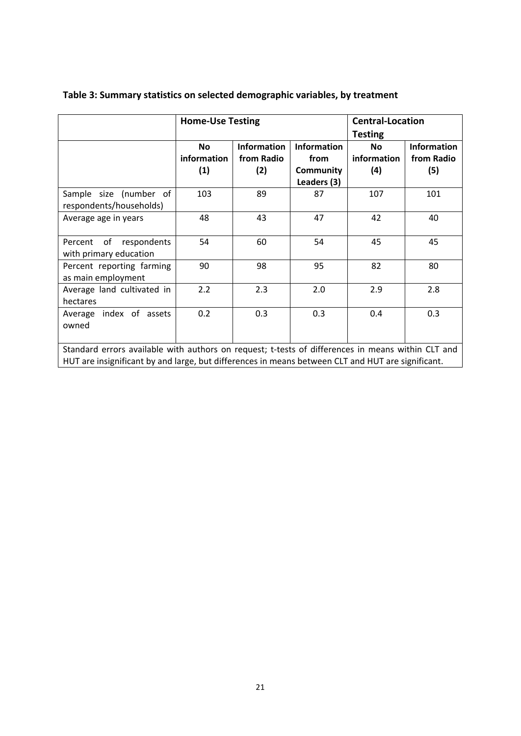|                                                                                                                                                                                                        | <b>Home-Use Testing</b>         |                                         | <b>Central-Location</b><br>Testing                            |                                 |                                  |
|--------------------------------------------------------------------------------------------------------------------------------------------------------------------------------------------------------|---------------------------------|-----------------------------------------|---------------------------------------------------------------|---------------------------------|----------------------------------|
|                                                                                                                                                                                                        | <b>No</b><br>information<br>(1) | <b>Information</b><br>from Radio<br>(2) | <b>Information</b><br>from<br><b>Community</b><br>Leaders (3) | <b>No</b><br>information<br>(4) | Information<br>from Radio<br>(5) |
| Sample size (number of<br>respondents/households)                                                                                                                                                      | 103                             | 89                                      | 87                                                            | 107                             | 101                              |
| Average age in years                                                                                                                                                                                   | 48                              | 43                                      | 47                                                            | 42                              | 40                               |
| Percent of respondents<br>with primary education                                                                                                                                                       | 54                              | 60                                      | 54                                                            | 45                              | 45                               |
| Percent reporting farming<br>as main employment                                                                                                                                                        | 90                              | 98                                      | 95                                                            | 82                              | 80                               |
| Average land cultivated in<br>hectares                                                                                                                                                                 | 2.2                             | 2.3                                     | 2.0                                                           | 2.9                             | 2.8                              |
| Average index of assets<br>owned                                                                                                                                                                       | 0.2                             | 0.3                                     | 0.3                                                           | 0.4                             | 0.3                              |
| Standard errors available with authors on request; t-tests of differences in means within CLT and<br>HUT are insignificant by and large, but differences in means between CLT and HUT are significant. |                                 |                                         |                                                               |                                 |                                  |

## **Table 3: Summary statistics on selected demographic variables, by treatment**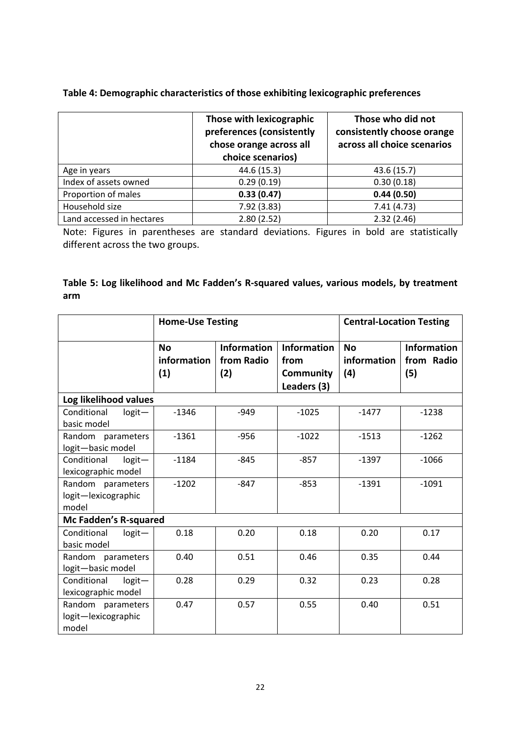## **Table 4: Demographic characteristics of those exhibiting lexicographic preferences**

|                           | Those with lexicographic<br>preferences (consistently<br>chose orange across all<br>choice scenarios) | Those who did not<br>consistently choose orange<br>across all choice scenarios |
|---------------------------|-------------------------------------------------------------------------------------------------------|--------------------------------------------------------------------------------|
| Age in years              | 44.6 (15.3)                                                                                           | 43.6 (15.7)                                                                    |
| Index of assets owned     | 0.29(0.19)                                                                                            | 0.30(0.18)                                                                     |
| Proportion of males       | 0.33(0.47)                                                                                            | 0.44(0.50)                                                                     |
| Household size            | 7.92(3.83)                                                                                            | 7.41(4.73)                                                                     |
| Land accessed in hectares | 2.80(2.52)                                                                                            | 2.32(2.46)                                                                     |

Note: Figures in parentheses are standard deviations. Figures in bold are statistically different across the two groups.

## **Table 5: Log likelihood and Mc Fadden's R-squared values, various models, by treatment arm**

|                                                   | <b>Home-Use Testing</b>         |                                         |                                                               | <b>Central-Location Testing</b> |                                         |  |  |
|---------------------------------------------------|---------------------------------|-----------------------------------------|---------------------------------------------------------------|---------------------------------|-----------------------------------------|--|--|
|                                                   | <b>No</b><br>information<br>(1) | <b>Information</b><br>from Radio<br>(2) | <b>Information</b><br>from<br><b>Community</b><br>Leaders (3) | <b>No</b><br>information<br>(4) | <b>Information</b><br>from Radio<br>(5) |  |  |
| Log likelihood values                             |                                 |                                         |                                                               |                                 |                                         |  |  |
| Conditional<br>$logit -$<br>basic model           | $-1346$                         | $-949$                                  | $-1025$                                                       | $-1477$                         | $-1238$                                 |  |  |
| Random parameters<br>logit-basic model            | $-1361$                         | $-956$                                  | $-1022$                                                       | $-1513$                         | $-1262$                                 |  |  |
| Conditional<br>$logit -$<br>lexicographic model   | $-1184$                         | $-845$                                  | $-857$                                                        | $-1397$                         | $-1066$                                 |  |  |
| Random parameters<br>logit-lexicographic<br>model | $-1202$                         | $-847$                                  | $-853$                                                        | $-1391$                         | $-1091$                                 |  |  |
| Mc Fadden's R-squared                             |                                 |                                         |                                                               |                                 |                                         |  |  |
| Conditional<br>$logit -$<br>basic model           | 0.18                            | 0.20                                    | 0.18                                                          | 0.20                            | 0.17                                    |  |  |
| Random parameters<br>logit-basic model            | 0.40                            | 0.51                                    | 0.46                                                          | 0.35                            | 0.44                                    |  |  |
| Conditional<br>$logit -$<br>lexicographic model   | 0.28                            | 0.29                                    | 0.32                                                          | 0.23                            | 0.28                                    |  |  |
| Random parameters<br>logit-lexicographic<br>model | 0.47                            | 0.57                                    | 0.55                                                          | 0.40                            | 0.51                                    |  |  |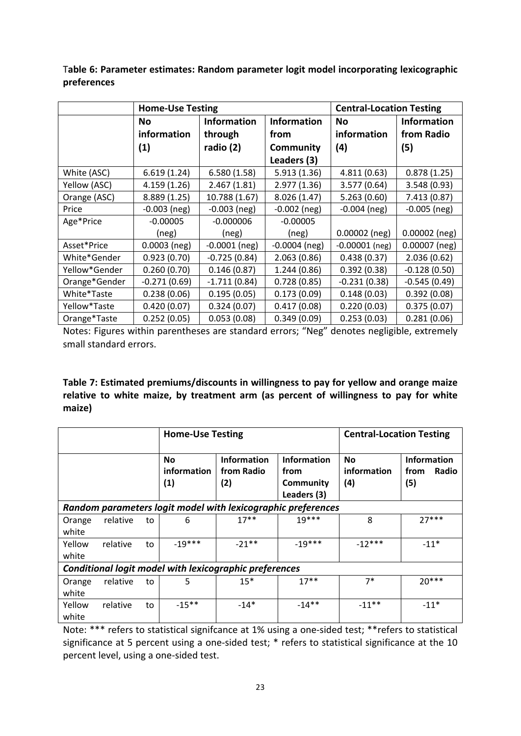|               | <b>Home-Use Testing</b> |                                          | <b>Central-Location Testing</b> |                  |                    |
|---------------|-------------------------|------------------------------------------|---------------------------------|------------------|--------------------|
|               | <b>No</b>               | <b>Information</b><br><b>Information</b> |                                 | <b>No</b>        | <b>Information</b> |
|               | information             | through                                  | from                            | information      | from Radio         |
|               | $\left( 1\right)$       | radio (2)                                | Community                       | (4)              | (5)                |
|               |                         |                                          | Leaders (3)                     |                  |                    |
| White (ASC)   | 6.619(1.24)             | 6.580(1.58)                              | 5.913(1.36)                     | 4.811 (0.63)     | 0.878(1.25)        |
| Yellow (ASC)  | 4.159(1.26)             | 2.467(1.81)                              | 2.977(1.36)                     | 3.577 (0.64)     | 3.548 (0.93)       |
| Orange (ASC)  | 8.889 (1.25)            | 10.788 (1.67)                            | 8.026 (1.47)                    | 5.263(0.60)      | 7.413 (0.87)       |
| Price         | $-0.003$ (neg)          | $-0.003$ (neg)                           | $-0.002$ (neg)                  | $-0.004$ (neg)   | $-0.005$ (neg)     |
| Age*Price     | $-0.00005$              | $-0.000006$                              | $-0.00005$                      |                  |                    |
|               | (neg)                   | (neg)                                    | (neg)                           | $0.00002$ (neg)  | $0.00002$ (neg)    |
| Asset*Price   | $0.0003$ (neg)          | $-0.0001$ (neg)                          | $-0.0004$ (neg)                 | $-0.00001$ (neg) | $0.00007$ (neg)    |
| White*Gender  | 0.923(0.70)             | $-0.725(0.84)$                           | 2.063(0.86)                     | 0.438(0.37)      | 2.036(0.62)        |
| Yellow*Gender | 0.260(0.70)             | 0.146(0.87)                              | 1.244(0.86)                     | 0.392(0.38)      | $-0.128(0.50)$     |
| Orange*Gender | $-0.271(0.69)$          | $-1.711(0.84)$                           | 0.728(0.85)                     | $-0.231(0.38)$   | $-0.545(0.49)$     |
| White*Taste   | 0.238(0.06)             | 0.195(0.05)                              | 0.173(0.09)                     | 0.148(0.03)      | 0.392(0.08)        |
| Yellow*Taste  | 0.420(0.07)             | 0.324(0.07)                              | 0.417(0.08)                     | 0.220(0.03)      | 0.375(0.07)        |
| Orange*Taste  | 0.252(0.05)             | 0.053(0.08)                              | 0.349(0.09)                     | 0.253(0.03)      | 0.281(0.06)        |

T**able 6: Parameter estimates: Random parameter logit model incorporating lexicographic preferences**

Notes: Figures within parentheses are standard errors; "Neg" denotes negligible, extremely small standard errors.

**Table 7: Estimated premiums/discounts in willingness to pay for yellow and orange maize relative to white maize, by treatment arm (as percent of willingness to pay for white maize)**

|                                                               |          |    | <b>Home-Use Testing</b>         |                                         |                                                               | <b>Central-Location Testing</b> |                                            |  |  |
|---------------------------------------------------------------|----------|----|---------------------------------|-----------------------------------------|---------------------------------------------------------------|---------------------------------|--------------------------------------------|--|--|
|                                                               |          |    | <b>No</b><br>information<br>(1) | <b>Information</b><br>from Radio<br>(2) | <b>Information</b><br>from<br><b>Community</b><br>Leaders (3) | <b>No</b><br>information<br>(4) | <b>Information</b><br>Radio<br>from<br>(5) |  |  |
| Random parameters logit model with lexicographic preferences  |          |    |                                 |                                         |                                                               |                                 |                                            |  |  |
| Orange<br>white                                               | relative | to | 6                               | $17**$                                  | $19***$                                                       | 8                               | $27***$                                    |  |  |
| Yellow<br>white                                               | relative | to | $-19***$                        | $-21**$                                 | $-19***$                                                      | $-12***$                        | $-11*$                                     |  |  |
| <b>Conditional logit model with lexicographic preferences</b> |          |    |                                 |                                         |                                                               |                                 |                                            |  |  |
| Orange<br>white                                               | relative | to | 5                               | $15*$                                   | $17**$                                                        | $7*$                            | $20***$                                    |  |  |
| Yellow<br>white                                               | relative | to | $-15**$                         | $-14*$                                  | $-14**$                                                       | $-11***$                        | $-11*$                                     |  |  |

Note: \*\*\* refers to statistical signifcance at 1% using a one-sided test; \*\*refers to statistical significance at 5 percent using a one-sided test; \* refers to statistical significance at the 10 percent level, using a one-sided test.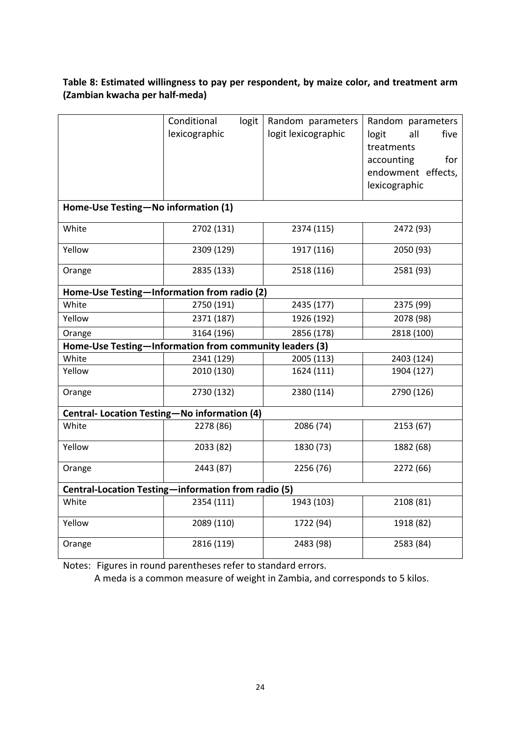## **Table 8: Estimated willingness to pay per respondent, by maize color, and treatment arm (Zambian kwacha per half-meda)**

|                                              | Conditional<br>logit<br>lexicographic                   | Random parameters<br>logit lexicographic | Random parameters<br>all<br>logit<br>five<br>treatments<br>accounting<br>for<br>endowment effects, |
|----------------------------------------------|---------------------------------------------------------|------------------------------------------|----------------------------------------------------------------------------------------------------|
|                                              |                                                         |                                          | lexicographic                                                                                      |
| Home-Use Testing-No information (1)          |                                                         |                                          |                                                                                                    |
| White                                        | 2702 (131)                                              | 2374 (115)                               | 2472 (93)                                                                                          |
| Yellow                                       | 2309 (129)                                              | 1917 (116)                               | 2050 (93)                                                                                          |
| Orange                                       | 2835 (133)                                              | 2518 (116)                               | 2581 (93)                                                                                          |
|                                              | Home-Use Testing-Information from radio (2)             |                                          |                                                                                                    |
| White                                        | 2750 (191)                                              | 2435 (177)                               | 2375 (99)                                                                                          |
| Yellow                                       | 2371 (187)                                              | 1926 (192)                               | 2078 (98)                                                                                          |
| Orange                                       | 3164 (196)                                              | 2856 (178)                               | 2818 (100)                                                                                         |
|                                              | Home-Use Testing-Information from community leaders (3) |                                          |                                                                                                    |
| White                                        | 2341 (129)                                              | 2005 (113)                               | 2403 (124)                                                                                         |
| Yellow                                       | 2010 (130)                                              | 1624 (111)                               | 1904 (127)                                                                                         |
| Orange                                       | 2730 (132)                                              | 2380 (114)                               | 2790 (126)                                                                                         |
| Central- Location Testing-No information (4) |                                                         |                                          |                                                                                                    |
| White                                        | 2278 (86)                                               | 2086 (74)                                | 2153 (67)                                                                                          |
| Yellow                                       | 2033 (82)                                               | 1830 (73)                                | 1882 (68)                                                                                          |
| Orange                                       | 2443 (87)                                               | 2256 (76)                                | 2272 (66)                                                                                          |
|                                              | Central-Location Testing-information from radio (5)     |                                          |                                                                                                    |
| White                                        | 2354 (111)                                              | 1943 (103)                               | 2108 (81)                                                                                          |
| Yellow                                       | 2089 (110)                                              | 1722 (94)                                | 1918 (82)                                                                                          |
| Orange                                       | 2816 (119)                                              | 2483 (98)                                | 2583 (84)                                                                                          |

Notes: Figures in round parentheses refer to standard errors.

A meda is a common measure of weight in Zambia, and corresponds to 5 kilos.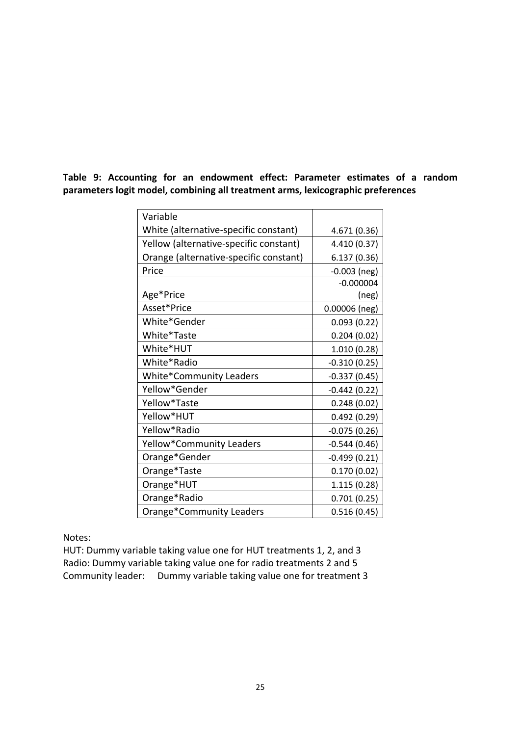|  |  | Table 9: Accounting for an endowment effect: Parameter estimates of a random    |  |  |  |
|--|--|---------------------------------------------------------------------------------|--|--|--|
|  |  | parameters logit model, combining all treatment arms, lexicographic preferences |  |  |  |

| Variable                               |                 |
|----------------------------------------|-----------------|
| White (alternative-specific constant)  | 4.671 (0.36)    |
| Yellow (alternative-specific constant) | 4.410 (0.37)    |
| Orange (alternative-specific constant) | 6.137(0.36)     |
| Price                                  | $-0.003$ (neg)  |
|                                        | $-0.000004$     |
| Age*Price                              | (neg)           |
| Asset*Price                            | $0.00006$ (neg) |
| White*Gender                           | 0.093(0.22)     |
| White*Taste                            | 0.204(0.02)     |
| White*HUT                              | 1.010(0.28)     |
| White*Radio                            | $-0.310(0.25)$  |
| <b>White*Community Leaders</b>         | $-0.337(0.45)$  |
| Yellow*Gender                          | $-0.442(0.22)$  |
| Yellow*Taste                           | 0.248(0.02)     |
| Yellow*HUT                             | 0.492(0.29)     |
| Yellow*Radio                           | $-0.075(0.26)$  |
| Yellow*Community Leaders               | $-0.544(0.46)$  |
| Orange*Gender                          | $-0.499(0.21)$  |
| Orange*Taste                           | 0.170(0.02)     |
| Orange*HUT                             | 1.115(0.28)     |
| Orange*Radio                           | 0.701(0.25)     |
| Orange*Community Leaders               | 0.516(0.45)     |

Notes:

HUT: Dummy variable taking value one for HUT treatments 1, 2, and 3 Radio: Dummy variable taking value one for radio treatments 2 and 5 Community leader: Dummy variable taking value one for treatment 3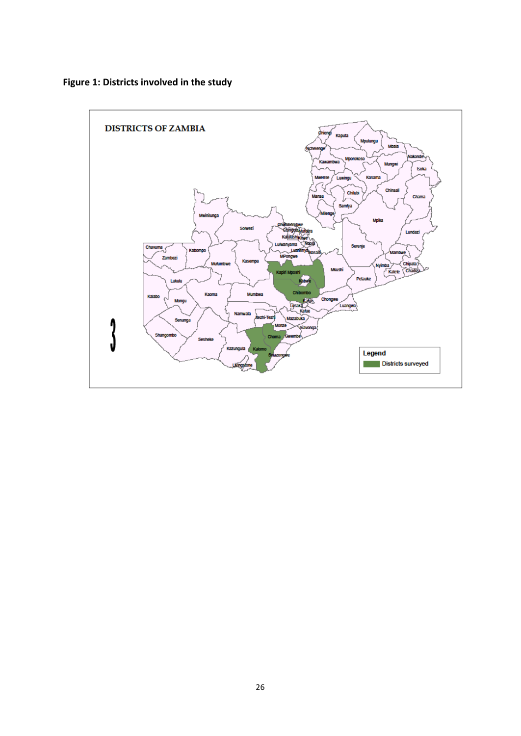**Figure 1: Districts involved in the study**

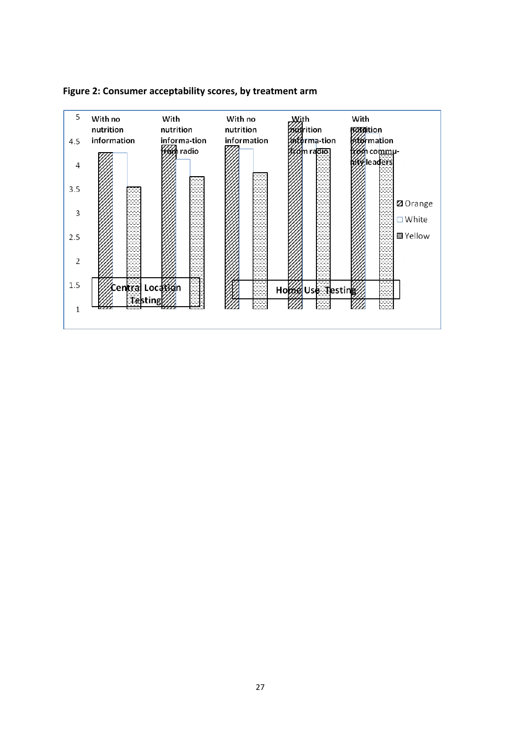

**Figure 2: Consumer acceptability scores, by treatment arm**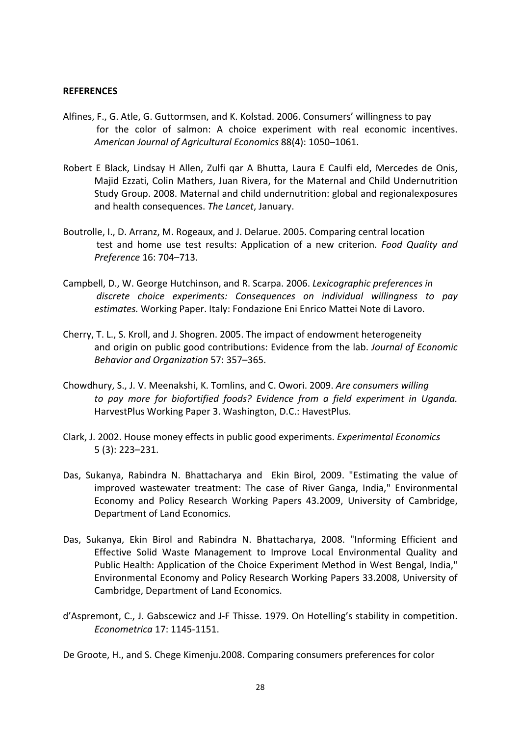#### <span id="page-28-0"></span>**REFERENCES**

- Alfines, F., G. Atle, G. Guttormsen, and K. Kolstad. 2006. Consumers' willingness to pay for the color of salmon: A choice experiment with real economic incentives. *American Journal of Agricultural Economics* 88(4): 1050–1061.
- Robert E Black, Lindsay H Allen, Zulfi qar A Bhutta, Laura E Caulfi eld, Mercedes de Onis, Majid Ezzati, Colin Mathers, Juan Rivera, for the Maternal and Child Undernutrition Study Group. 2008. Maternal and child undernutrition: global and regionalexposures and health consequences. *The Lancet*, January.
- Boutrolle, I., D. Arranz, M. Rogeaux, and J. Delarue. 2005. Comparing central location test and home use test results: Application of a new criterion. *Food Quality and Preference* 16: 704–713.
- Campbell, D., W. George Hutchinson, and R. Scarpa. 2006. *Lexicographic preferences in discrete choice experiments: Consequences on individual willingness to pay estimates.* Working Paper. Italy: Fondazione Eni Enrico Mattei Note di Lavoro.
- Cherry, T. L., S. Kroll, and J. Shogren. 2005. The impact of endowment heterogeneity and origin on public good contributions: Evidence from the lab. *Journal of Economic Behavior and Organization* 57: 357–365.
- Chowdhury, S., J. V. Meenakshi, K. Tomlins, and C. Owori. 2009. *Are consumers willing to pay more for biofortified foods? Evidence from a field experiment in Uganda.* HarvestPlus Working Paper 3. Washington, D.C.: HavestPlus.
- Clark, J. 2002. House money effects in public good experiments. *Experimental Economics* 5 (3): 223–231.
- Das, Sukanya, Rabindra N. Bhattacharya and Ekin Birol, 2009. ["Estimating the value of](http://ideas.repec.org/p/lnd/wpaper/432009.html)  [improved wastewater treatment: The case of River Ganga, India,](http://ideas.repec.org/p/lnd/wpaper/432009.html)" [Environmental](http://ideas.repec.org/s/lnd/wpaper.html)  [Economy and Policy Research Working Papers](http://ideas.repec.org/s/lnd/wpaper.html) 43.2009, University of Cambridge, Department of Land Economics.
- Das, Sukanya, Ekin Birol and Rabindra N. Bhattacharya, 2008. ["Informing Efficient and](http://ideas.repec.org/p/lnd/wpaper/200833.html)  [Effective Solid Waste Management to Improve Local Environmental Quality and](http://ideas.repec.org/p/lnd/wpaper/200833.html)  [Public Health: Application of the Choice Experiment Method in West Bengal, India,](http://ideas.repec.org/p/lnd/wpaper/200833.html)" [Environmental Economy and Policy Research Working Papers](http://ideas.repec.org/s/lnd/wpaper.html) 33.2008, University of Cambridge, Department of Land Economics.
- d'Aspremont, C., J. Gabscewicz and J-F Thisse. 1979. On Hotelling's stability in competition. *Econometrica* 17: 1145-1151.

De Groote, H., and S. Chege Kimenju.2008. Comparing consumers preferences for color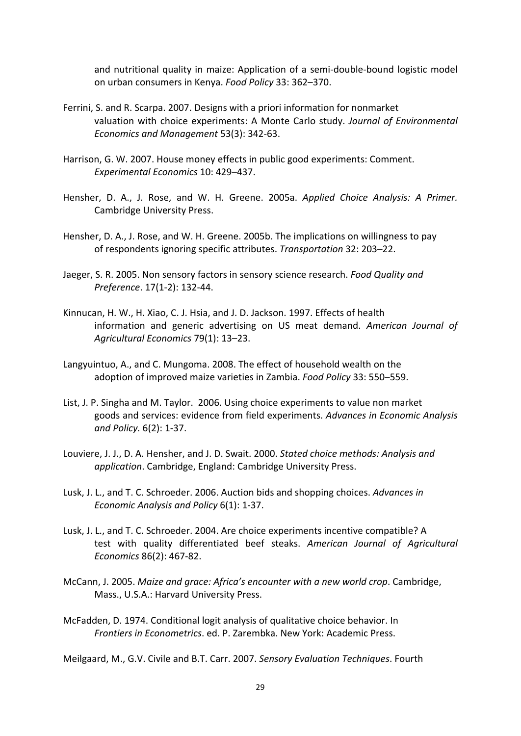and nutritional quality in maize: Application of a semi-double-bound logistic model on urban consumers in Kenya. *Food Policy* 33: 362–370.

- Ferrini, S. and R. Scarpa. 2007. Designs with a priori information for nonmarket valuation with choice experiments: A Monte Carlo study. *Journal of Environmental Economics and Management* 53(3): 342-63.
- Harrison, G. W. 2007. House money effects in public good experiments: Comment. *Experimental Economics* 10: 429–437.
- Hensher, D. A., J. Rose, and W. H. Greene. 2005a. *Applied Choice Analysis: A Primer.* Cambridge University Press.
- Hensher, D. A., J. Rose, and W. H. Greene. 2005b. The implications on willingness to pay of respondents ignoring specific attributes. *Transportation* 32: 203–22.
- Jaeger, S. R. 2005. Non sensory factors in sensory science research. *Food Quality and Preference*. 17(1-2): 132-44.
- Kinnucan, H. W., H. Xiao, C. J. Hsia, and J. D. Jackson. 1997. Effects of health information and generic advertising on US meat demand. *American Journal of Agricultural Economics* 79(1): 13–23.
- Langyuintuo, A., and C. Mungoma. 2008. The effect of household wealth on the adoption of improved maize varieties in Zambia. *Food Policy* 33: 550–559.
- List, J. P. Singha and M. Taylor. 2006. Using choice experiments to value non market goods and services: evidence from field experiments. *Advances in Economic Analysis and Policy.* 6(2): 1-37.
- Louviere, J. J., D. A. Hensher, and J. D. Swait. 2000. *Stated choice methods: Analysis and application*. Cambridge, England: Cambridge University Press.
- Lusk, J. L., and T. C. Schroeder. 2006. Auction bids and shopping choices. *Advances in Economic Analysis and Policy* 6(1): 1-37.
- Lusk, J. L., and T. C. Schroeder. 2004. Are choice experiments incentive compatible? A test with quality differentiated beef steaks. *American Journal of Agricultural Economics* 86(2): 467-82.
- McCann, J. 2005. *Maize and grace: Africa's encounter with a new world crop*. Cambridge, Mass., U.S.A.: Harvard University Press.
- McFadden, D. 1974. Conditional logit analysis of qualitative choice behavior. In *Frontiers in Econometrics*. ed. P. Zarembka. New York: Academic Press.

Meilgaard, M., G.V. Civile and B.T. Carr. 2007. *Sensory Evaluation Techniques*. Fourth